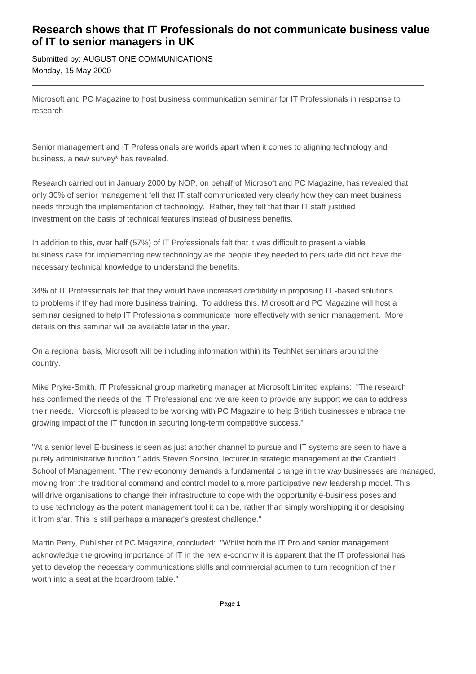## **Research shows that IT Professionals do not communicate business value of IT to senior managers in UK**

Submitted by: AUGUST ONE COMMUNICATIONS Monday, 15 May 2000

Microsoft and PC Magazine to host business communication seminar for IT Professionals in response to research

Senior management and IT Professionals are worlds apart when it comes to aligning technology and business, a new survey\* has revealed.

Research carried out in January 2000 by NOP, on behalf of Microsoft and PC Magazine, has revealed that only 30% of senior management felt that IT staff communicated very clearly how they can meet business needs through the implementation of technology. Rather, they felt that their IT staff justified investment on the basis of technical features instead of business benefits.

In addition to this, over half (57%) of IT Professionals felt that it was difficult to present a viable business case for implementing new technology as the people they needed to persuade did not have the necessary technical knowledge to understand the benefits.

34% of IT Professionals felt that they would have increased credibility in proposing IT -based solutions to problems if they had more business training. To address this, Microsoft and PC Magazine will host a seminar designed to help IT Professionals communicate more effectively with senior management. More details on this seminar will be available later in the year.

On a regional basis, Microsoft will be including information within its TechNet seminars around the country.

Mike Pryke-Smith, IT Professional group marketing manager at Microsoft Limited explains: "The research has confirmed the needs of the IT Professional and we are keen to provide any support we can to address their needs. Microsoft is pleased to be working with PC Magazine to help British businesses embrace the growing impact of the IT function in securing long-term competitive success."

"At a senior level E-business is seen as just another channel to pursue and IT systems are seen to have a purely administrative function," adds Steven Sonsino, lecturer in strategic management at the Cranfield School of Management. "The new economy demands a fundamental change in the way businesses are managed, moving from the traditional command and control model to a more participative new leadership model. This will drive organisations to change their infrastructure to cope with the opportunity e-business poses and to use technology as the potent management tool it can be, rather than simply worshipping it or despising it from afar. This is still perhaps a manager's greatest challenge."

Martin Perry, Publisher of PC Magazine, concluded: "Whilst both the IT Pro and senior management acknowledge the growing importance of IT in the new e-conomy it is apparent that the IT professional has yet to develop the necessary communications skills and commercial acumen to turn recognition of their worth into a seat at the boardroom table."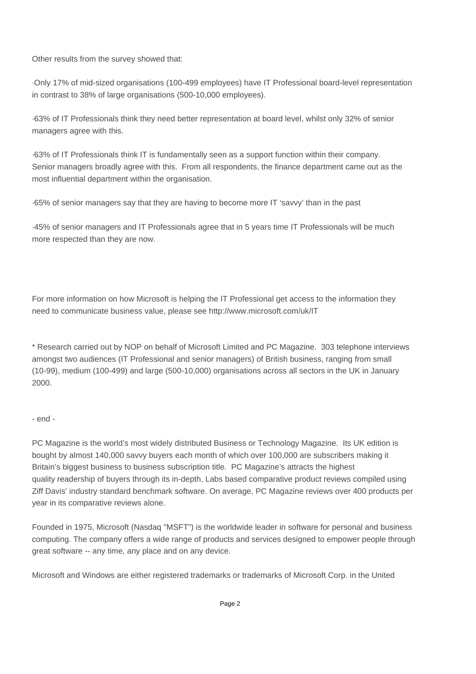Other results from the survey showed that:

·Only 17% of mid-sized organisations (100-499 employees) have IT Professional board-level representation in contrast to 38% of large organisations (500-10,000 employees).

·63% of IT Professionals think they need better representation at board level, whilst only 32% of senior managers agree with this.

·63% of IT Professionals think IT is fundamentally seen as a support function within their company. Senior managers broadly agree with this. From all respondents, the finance department came out as the most influential department within the organisation.

·65% of senior managers say that they are having to become more IT 'savvy' than in the past

·45% of senior managers and IT Professionals agree that in 5 years time IT Professionals will be much more respected than they are now.

For more information on how Microsoft is helping the IT Professional get access to the information they need to communicate business value, please see http://www.microsoft.com/uk/IT

\* Research carried out by NOP on behalf of Microsoft Limited and PC Magazine. 303 telephone interviews amongst two audiences (IT Professional and senior managers) of British business, ranging from small (10-99), medium (100-499) and large (500-10,000) organisations across all sectors in the UK in January 2000.

## - end -

PC Magazine is the world's most widely distributed Business or Technology Magazine. Its UK edition is bought by almost 140,000 savvy buyers each month of which over 100,000 are subscribers making it Britain's biggest business to business subscription title. PC Magazine's attracts the highest quality readership of buyers through its in-depth, Labs based comparative product reviews compiled using Ziff Davis' industry standard benchmark software. On average, PC Magazine reviews over 400 products per year in its comparative reviews alone.

Founded in 1975, Microsoft (Nasdaq "MSFT") is the worldwide leader in software for personal and business computing. The company offers a wide range of products and services designed to empower people through great software -- any time, any place and on any device.

Microsoft and Windows are either registered trademarks or trademarks of Microsoft Corp. in the United